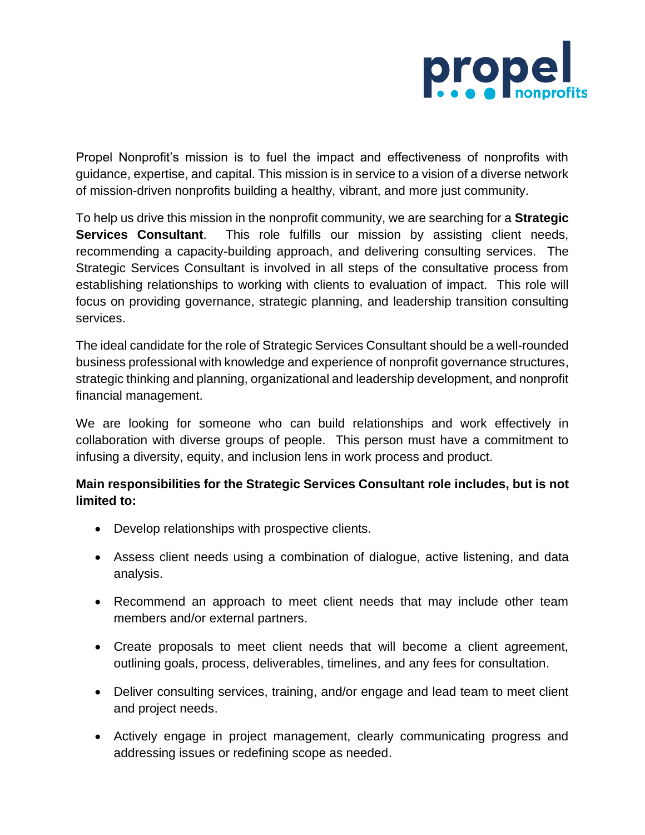

Propel Nonprofit's mission is to fuel the impact and effectiveness of nonprofits with guidance, expertise, and capital. This mission is in service to a vision of a diverse network of mission-driven nonprofits building a healthy, vibrant, and more just community.

To help us drive this mission in the nonprofit community, we are searching for a **Strategic Services Consultant**. This role fulfills our mission by assisting client needs, recommending a capacity-building approach, and delivering consulting services. The Strategic Services Consultant is involved in all steps of the consultative process from establishing relationships to working with clients to evaluation of impact. This role will focus on providing governance, strategic planning, and leadership transition consulting services.

The ideal candidate for the role of Strategic Services Consultant should be a well-rounded business professional with knowledge and experience of nonprofit governance structures, strategic thinking and planning, organizational and leadership development, and nonprofit financial management.

We are looking for someone who can build relationships and work effectively in collaboration with diverse groups of people. This person must have a commitment to infusing a diversity, equity, and inclusion lens in work process and product.

## **Main responsibilities for the Strategic Services Consultant role includes, but is not limited to:**

- Develop relationships with prospective clients.
- Assess client needs using a combination of dialogue, active listening, and data analysis.
- Recommend an approach to meet client needs that may include other team members and/or external partners.
- Create proposals to meet client needs that will become a client agreement, outlining goals, process, deliverables, timelines, and any fees for consultation.
- Deliver consulting services, training, and/or engage and lead team to meet client and project needs.
- Actively engage in project management, clearly communicating progress and addressing issues or redefining scope as needed.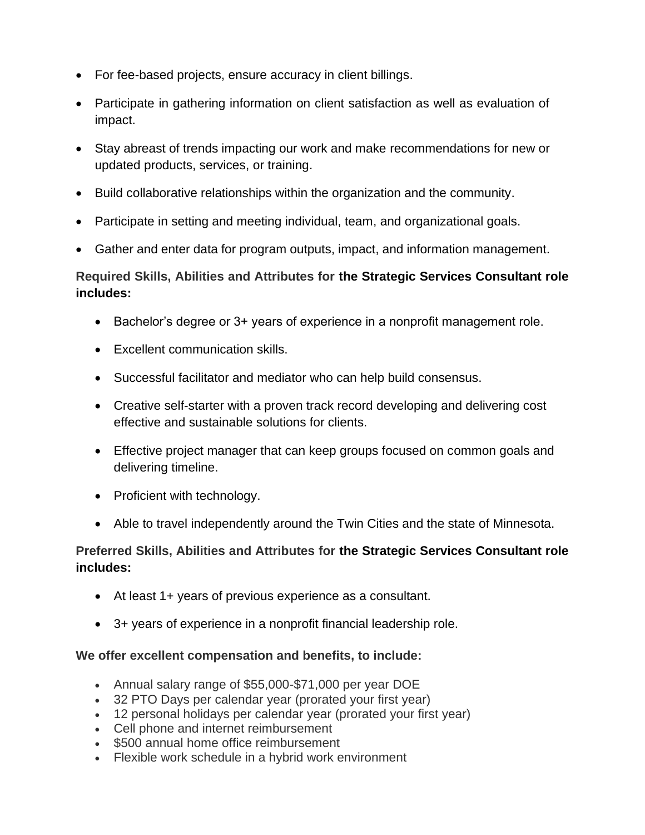- For fee-based projects, ensure accuracy in client billings.
- Participate in gathering information on client satisfaction as well as evaluation of impact.
- Stay abreast of trends impacting our work and make recommendations for new or updated products, services, or training.
- Build collaborative relationships within the organization and the community.
- Participate in setting and meeting individual, team, and organizational goals.
- Gather and enter data for program outputs, impact, and information management.

# **Required Skills, Abilities and Attributes for the Strategic Services Consultant role includes:**

- Bachelor's degree or 3+ years of experience in a nonprofit management role.
- Excellent communication skills.
- Successful facilitator and mediator who can help build consensus.
- Creative self-starter with a proven track record developing and delivering cost effective and sustainable solutions for clients.
- Effective project manager that can keep groups focused on common goals and delivering timeline.
- Proficient with technology.
- Able to travel independently around the Twin Cities and the state of Minnesota.

## **Preferred Skills, Abilities and Attributes for the Strategic Services Consultant role includes:**

- At least 1+ years of previous experience as a consultant.
- 3+ years of experience in a nonprofit financial leadership role.

## **We offer excellent compensation and benefits, to include:**

- Annual salary range of \$55,000-\$71,000 per year DOE
- 32 PTO Days per calendar year (prorated your first year)
- 12 personal holidays per calendar year (prorated your first year)
- Cell phone and internet reimbursement
- \$500 annual home office reimbursement
- Flexible work schedule in a hybrid work environment